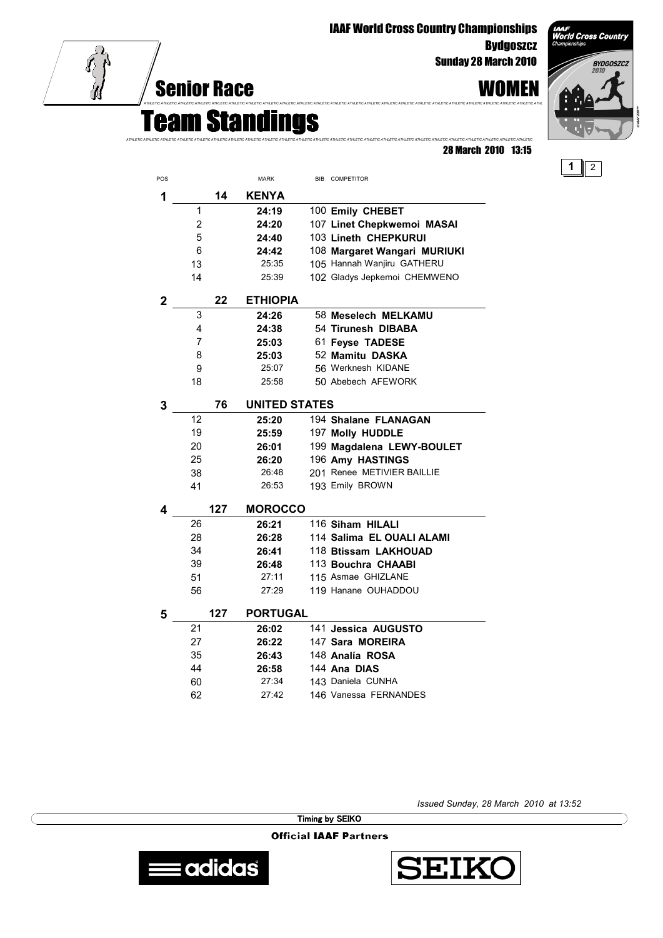IAAF World Cross Country Championships **Bydgoszcz** 

Sunday 28 March 2010

28 March 2010 13:15

## Senior Race WOMEN



Team Standings *ATHLETIC ATHLETIC ATHLETIC ATHLETIC ATHLETIC ATHLETIC ATHLETIC ATHLETIC ATHLETIC ATHLETIC ATHLETIC ATHLETIC ATHLETIC ATHLETIC ATHLETIC ATHLETIC ATHLETIC ATHLETIC ATHLETIC ATHLETIC ATHLETIC ATHLETIC ATHLETIC ATHLETIC*

*ATHLETIC ATHLETIC ATHLETIC ATHLETIC ATHLETIC ATHLETIC ATHLETIC ATHLETIC ATHLETIC ATHLETIC ATHLETIC ATHLETIC ATHLETIC ATHLETIC ATHLETIC ATHLETIC ATHLETIC ATHLETIC ATHLETIC ATHLETIC ATHLETIC ATHLETIC ATHLETIC ATHL*

| POS            |    |     | <b>MARK</b>          |  | BIB COMPETITOR               |  |  |
|----------------|----|-----|----------------------|--|------------------------------|--|--|
| 1              |    | 14  | <b>KENYA</b>         |  |                              |  |  |
|                | 1  |     | 24:19                |  | 100 Emily CHEBET             |  |  |
|                | 2  |     | 24:20                |  | 107 Linet Chepkwemoi MASAI   |  |  |
|                | 5  |     | 24:40                |  | 103 Lineth CHEPKURUI         |  |  |
|                | 6  |     | 24:42                |  | 108 Margaret Wangari MURIUKI |  |  |
|                | 13 |     | 25:35                |  | 105 Hannah Wanjiru GATHERU   |  |  |
|                | 14 |     | 25:39                |  | 102 Gladys Jepkemoi CHEMWENO |  |  |
| $\overline{2}$ |    | 22  | <b>ETHIOPIA</b>      |  |                              |  |  |
|                | 3  |     | 24:26                |  | 58 Meselech MELKAMU          |  |  |
|                | 4  |     | 24:38                |  | 54 Tirunesh DIBABA           |  |  |
|                | 7  |     | 25:03                |  | 61 Feyse TADESE              |  |  |
|                | 8  |     | 25:03                |  | 52 Mamitu DASKA              |  |  |
|                | 9  |     | 25:07                |  | 56 Werknesh KIDANE           |  |  |
|                | 18 |     | 25:58                |  | 50 Abebech AFEWORK           |  |  |
| 3              |    | 76  | <b>UNITED STATES</b> |  |                              |  |  |
|                | 12 |     | 25:20                |  | 194 Shalane FLANAGAN         |  |  |
|                | 19 |     | 25:59                |  | 197 Molly HUDDLE             |  |  |
|                | 20 |     | 26:01                |  | 199 Magdalena LEWY-BOULET    |  |  |
|                | 25 |     | 26:20                |  | 196 Amy HASTINGS             |  |  |
|                | 38 |     | 26:48                |  | 201 Renee METIVIER BAILLIE   |  |  |
|                | 41 |     | 26:53                |  | 193 Emily BROWN              |  |  |
| 4              |    | 127 | <b>MOROCCO</b>       |  |                              |  |  |
|                | 26 |     | 26:21                |  | 116 Siham HILALI             |  |  |
|                | 28 |     | 26:28                |  | 114 Salima EL OUALI ALAMI    |  |  |
|                | 34 |     | 26:41                |  | 118 Btissam LAKHOUAD         |  |  |
|                | 39 |     | 26:48                |  | 113 Bouchra CHAABI           |  |  |
|                | 51 |     | 27:11                |  | 115 Asmae GHIZLANE           |  |  |
|                | 56 |     | 27:29                |  | 119 Hanane OUHADDOU          |  |  |
| 5              |    | 127 | <b>PORTUGAL</b>      |  |                              |  |  |
|                | 21 |     | 26:02                |  | 141 Jessica AUGUSTO          |  |  |
|                | 27 |     | 26:22                |  | 147 Sara MOREIRA             |  |  |
|                | 35 |     | 26:43                |  | 148 Analía ROSA              |  |  |
|                | 44 |     | 26:58                |  | 144 Ana DIAS                 |  |  |
|                | 60 |     | 27:34                |  | 143 Daniela CUNHA            |  |  |
|                | 62 |     | 27:42                |  | 146 Vanessa FERNANDES        |  |  |

*Issued Sunday, 28 March 2010 at 13:52*

Timing by SEIKO

**Official IAAF Partners**